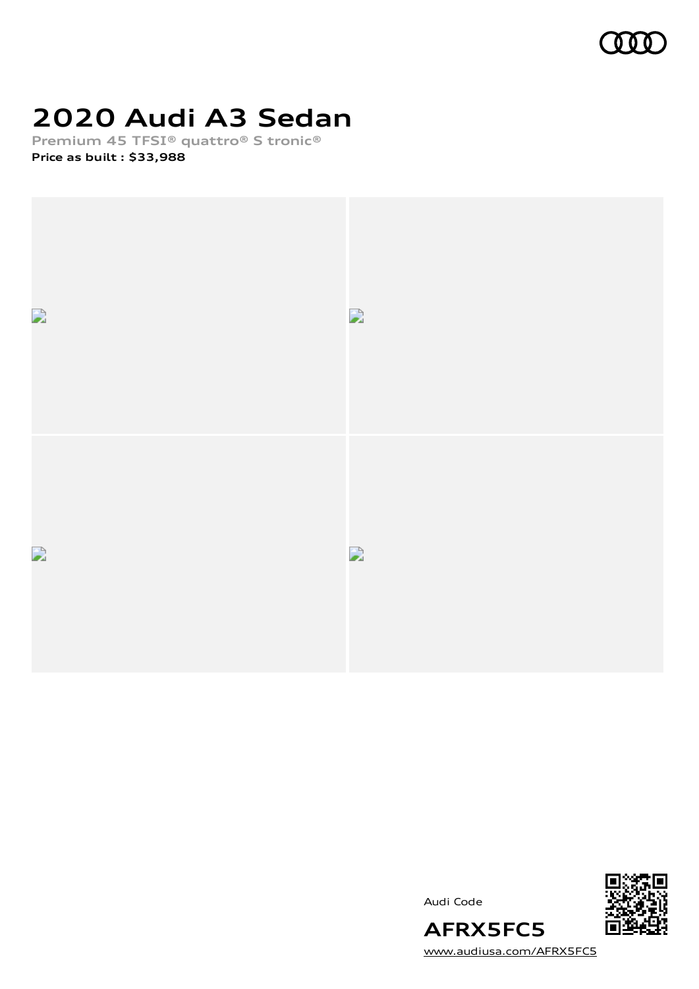

# **2020 Audi A3 Sedan**

**Premium 45 TFSI® quattro® S tronic®**

**Price as built [:](#page-10-0) \$33,988**







[www.audiusa.com/AFRX5FC5](https://www.audiusa.com/AFRX5FC5)

**AFRX5FC5**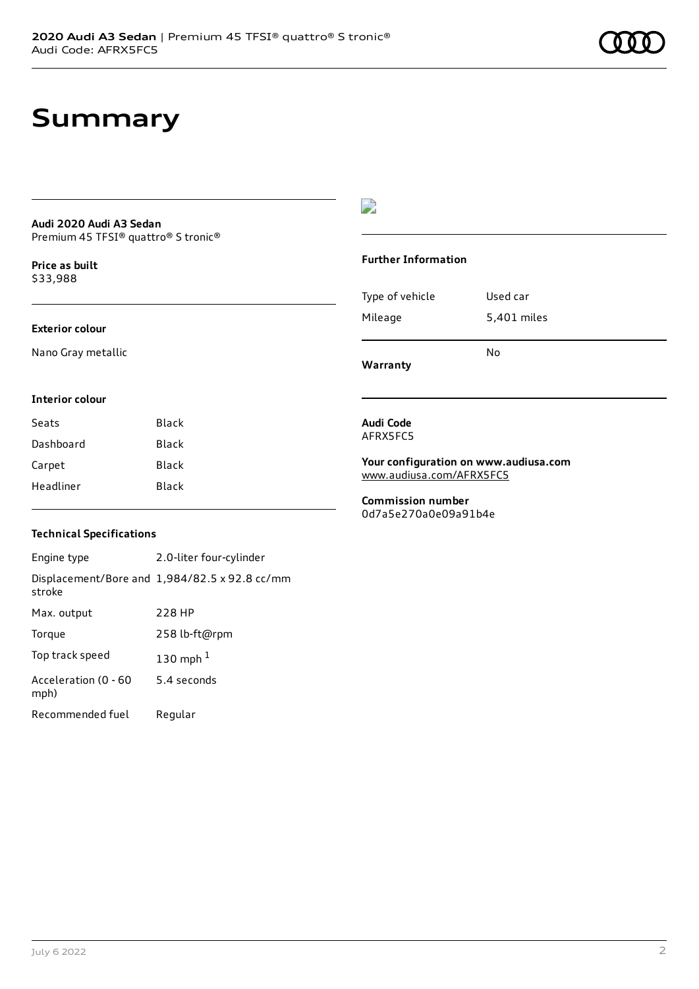### **Summary**

#### **Audi 2020 Audi A3 Sedan** Premium 45 TFSI® quattro® S tronic®

**Price as buil[t](#page-10-0)** \$33,988

### **Exterior colour**

**Interior colour**

Nano Gray metallic

### D

#### **Further Information**

| Type of vehicle | Used car    |
|-----------------|-------------|
| Mileage         | 5,401 miles |
|                 |             |

**Warranty**

### **Audi Code**

AFRX5FC5

**Your configuration on www.audiusa.com** [www.audiusa.com/AFRX5FC5](https://www.audiusa.com/AFRX5FC5)

No

**Commission number** 0d7a5e270a0e09a91b4e

### **Technical Specifications**

Seats Black Dashboard Black Carpet Black Headliner Black

Engine type 2.0-liter four-cylinder Displacement/Bore and 1,984/82.5 x 92.8 cc/mm stroke Max. output 228 HP Torque 258 lb-ft@rpm Top track speed [1](#page-10-0)30 mph $<sup>1</sup>$ </sup> Acceleration (0 - 60 mph) 5.4 seconds Recommended fuel Regular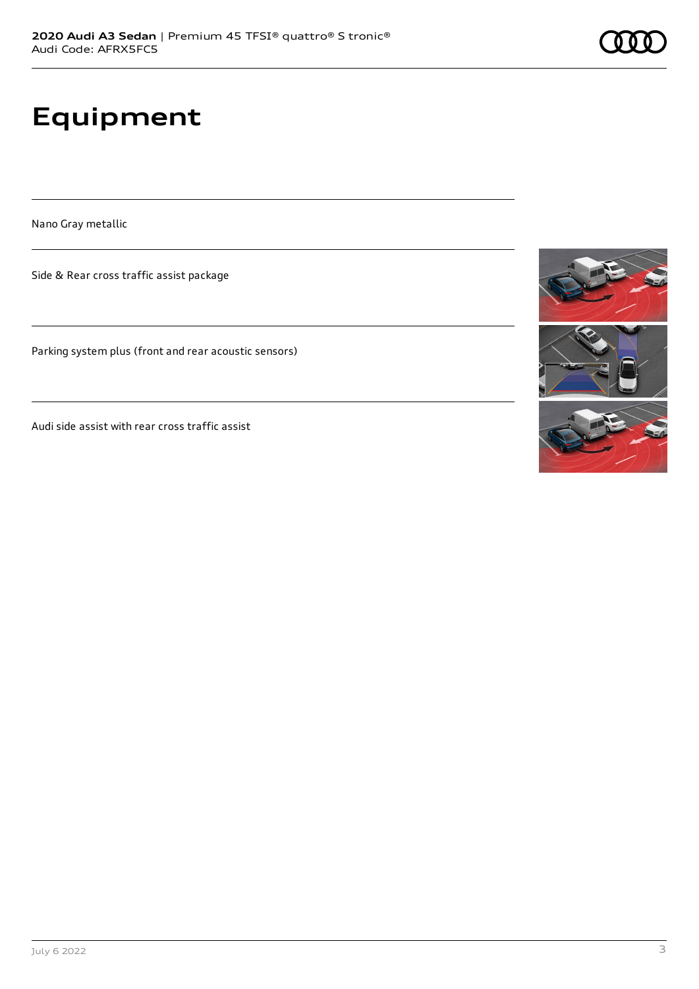# **Equipment**

Nano Gray metallic

Side & Rear cross traffic assist package

Parking system plus (front and rear acoustic sensors)

Audi side assist with rear cross traffic assist

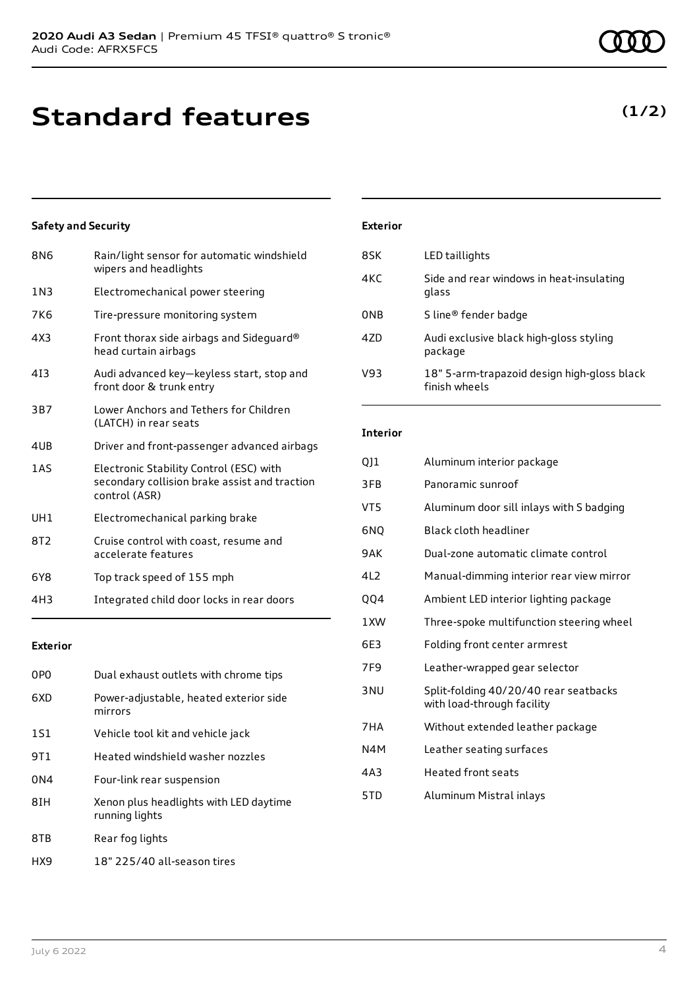**Standard features**

### **Safety and Security**

| 8N <sub>6</sub> | Rain/light sensor for automatic windshield<br>wipers and headlights                                       |
|-----------------|-----------------------------------------------------------------------------------------------------------|
| 1 N 3           | Electromechanical power steering                                                                          |
| 7K6             | Tire-pressure monitoring system                                                                           |
| 4X3             | Front thorax side airbags and Sideguard®<br>head curtain airbags                                          |
| 413             | Audi advanced key-keyless start, stop and<br>front door & trunk entry                                     |
| 3B7             | Lower Anchors and Tethers for Children<br>(LATCH) in rear seats                                           |
| 4UB             | Driver and front-passenger advanced airbags                                                               |
| 1 A S           | Electronic Stability Control (ESC) with<br>secondary collision brake assist and traction<br>control (ASR) |
| UH1             | Electromechanical parking brake                                                                           |
| 8T2             | Cruise control with coast, resume and<br>accelerate features                                              |
| 6Y8             | Top track speed of 155 mph                                                                                |
| 4H3             | Integrated child door locks in rear doors                                                                 |

### **Exterior**

| 0PO             | Dual exhaust outlets with chrome tips                    |
|-----------------|----------------------------------------------------------|
| 6XD             | Power-adjustable, heated exterior side<br>mirrors        |
| 1S1             | Vehicle tool kit and vehicle jack                        |
| 9T1             | Heated windshield washer nozzles                         |
| 0 <sub>N4</sub> | Four-link rear suspension                                |
| 8IH             | Xenon plus headlights with LED daytime<br>running lights |
| 8TB             | Rear fog lights                                          |
| HX9             | 18" 225/40 all-season tires                              |

### **Exterior**

| 8SK             | LED taillights                                               |
|-----------------|--------------------------------------------------------------|
| 4KC             | Side and rear windows in heat-insulating<br>glass            |
| 0 <sub>NB</sub> | S line <sup>®</sup> fender badge                             |
| 47D             | Audi exclusive black high-gloss styling<br>package           |
| V93             | 18" 5-arm-trapazoid design high-gloss black<br>finish wheels |

### **Interior**

| QJ1  | Aluminum interior package                                           |
|------|---------------------------------------------------------------------|
| 3FB  | Panoramic sunroof                                                   |
| VT5  | Aluminum door sill inlays with S badging                            |
| 6NO  | Black cloth headliner                                               |
| 9AK  | Dual-zone automatic climate control                                 |
| 4L2  | Manual-dimming interior rear view mirror                            |
| QQ4  | Ambient LED interior lighting package                               |
| 1XW  | Three-spoke multifunction steering wheel                            |
| 6E3  | Folding front center armrest                                        |
| 7F9  | Leather-wrapped gear selector                                       |
| 3 NU | Split-folding 40/20/40 rear seatbacks<br>with load-through facility |
| 7HA  | Without extended leather package                                    |
| N4M  | Leather seating surfaces                                            |
| 4A3  | <b>Heated front seats</b>                                           |
| 5TD  | Aluminum Mistral inlays                                             |
|      |                                                                     |

### **(1/2)**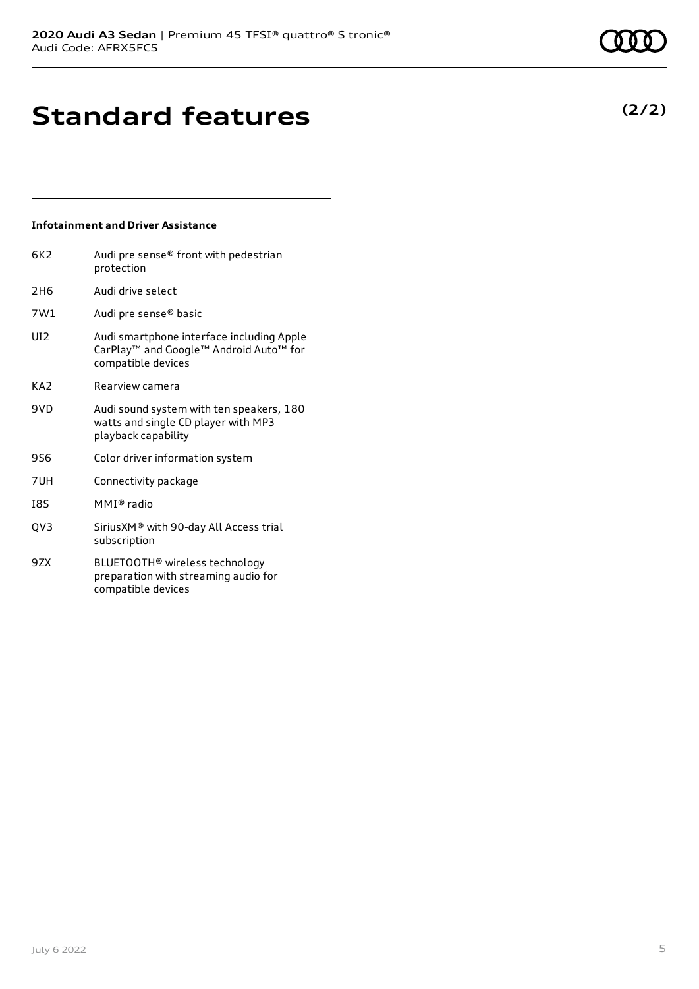**(2/2)**

# **Standard features**

### **Infotainment and Driver Assistance**

| 6K2             | Audi pre sense® front with pedestrian<br>protection                                                                                           |
|-----------------|-----------------------------------------------------------------------------------------------------------------------------------------------|
| 2H <sub>6</sub> | Audi drive select                                                                                                                             |
| 7W1             | Audi pre sense® basic                                                                                                                         |
| UD.             | Audi smartphone interface including Apple<br>CarPlay <sup>™</sup> and Google <sup>™</sup> Android Auto <sup>™</sup> for<br>compatible devices |
| KA2             | Rearview camera                                                                                                                               |
| 9VD             | Audi sound system with ten speakers, 180<br>watts and single CD player with MP3<br>playback capability                                        |
| <b>9S6</b>      | Color driver information system                                                                                                               |
| 7UH             | Connectivity package                                                                                                                          |
| I8S             | MMI® radio                                                                                                                                    |
| QV3             | SiriusXM® with 90-day All Access trial<br>subscription                                                                                        |
| 9ZX             | BLUETOOTH <sup>®</sup> wireless technology<br>preparation with streaming audio for                                                            |

compatible devices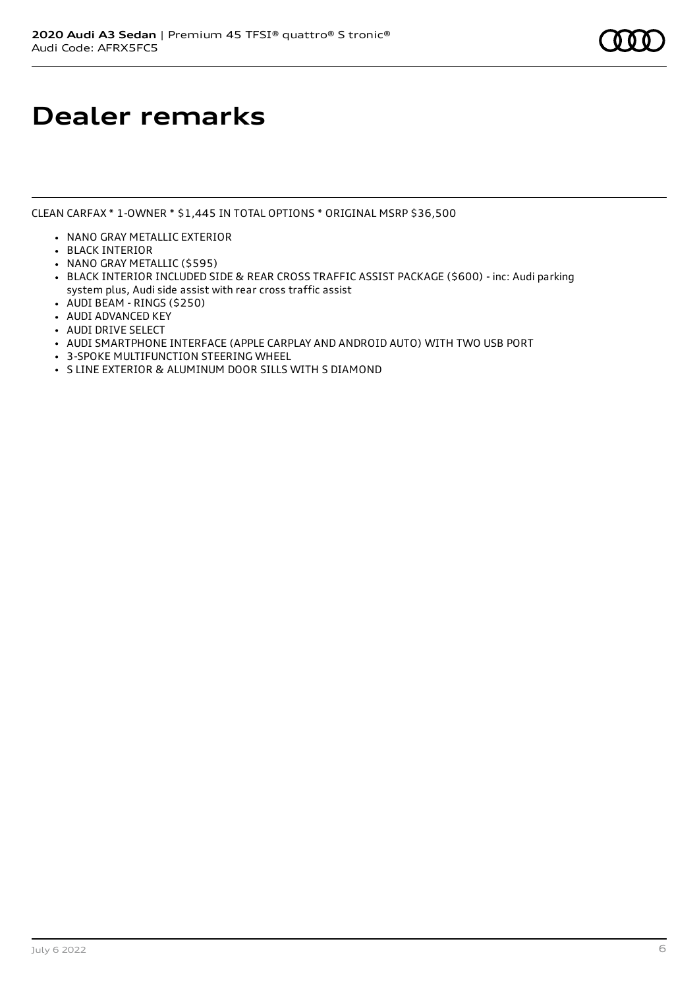### **Dealer remarks**

CLEAN CARFAX \* 1-OWNER \* \$1,445 IN TOTAL OPTIONS \* ORIGINAL MSRP \$36,500

- NANO GRAY METALLIC EXTERIOR
- BLACK INTERIOR
- NANO GRAY METALLIC (\$595)
- BLACK INTERIOR INCLUDED SIDE & REAR CROSS TRAFFIC ASSIST PACKAGE (\$600) inc: Audi parking system plus, Audi side assist with rear cross traffic assist
- AUDI BEAM RINGS (\$250)
- AUDI ADVANCED KEY
- AUDI DRIVE SELECT
- AUDI SMARTPHONE INTERFACE (APPLE CARPLAY AND ANDROID AUTO) WITH TWO USB PORT
- 3-SPOKE MULTIFUNCTION STEERING WHEEL
- S LINE EXTERIOR & ALUMINUM DOOR SILLS WITH S DIAMOND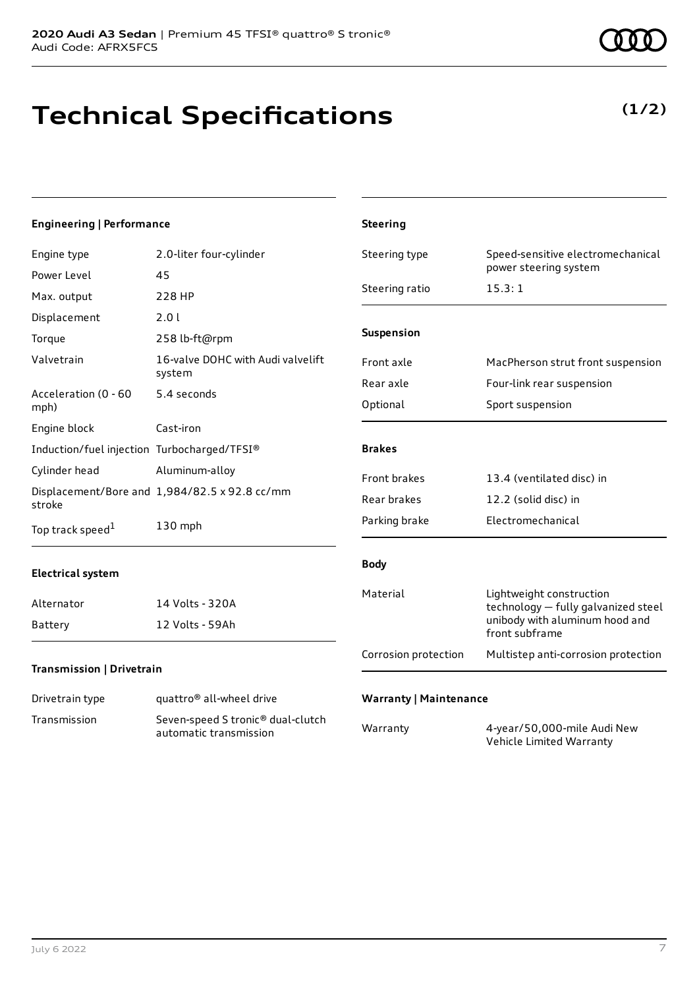# **Technical Specifications**

**(1/2)**

#### **Engineering | Performance** Engine type 2.0-liter four-cylinder Power Level 45 Max. output 228 HP Displacement 2.0 l Torque 258 lb-ft@rpm Valvetrain 16-valve DOHC with Audi valvelift system Acceleration (0 - 60 mph) 5.4 seconds Engine block Cast-iron Induction/fuel injection Turbocharged/TFSI® Cylinder head Aluminum-alloy Displacement/Bore and 1,984/82.5 x 92.8 cc/mm stroke Top track speed<sup>1</sup> [1](#page-10-0) 130 mph **Electrical system** Alternator 14 Volts - 320A Battery 12 Volts - 59Ah **Steering** Steering type Speed-sensitive electromechanical power steering system Steering ratio 15.3:1 **Suspension** Front axle MacPherson strut front suspension Rear axle Four-link rear suspension Optional Sport suspension **Brakes** Front brakes 13.4 (ventilated disc) in Rear brakes 12.2 (solid disc) in Parking brake Electromechanical **Body** Material Lightweight construction technology — fully galvanized steel unibody with aluminum hood and front subframe Corrosion protection Multistep anti-corrosion protection

### **Transmission | Drivetrain**

| Drivetrain type | quattro <sup>®</sup> all-wheel drive                                    |
|-----------------|-------------------------------------------------------------------------|
| Transmission    | Seven-speed S tronic <sup>®</sup> dual-clutch<br>automatic transmission |

### **Warranty | Maintenance**

| Warranty | 4-year/50,000-mile Audi New |
|----------|-----------------------------|
|          | Vehicle Limited Warranty    |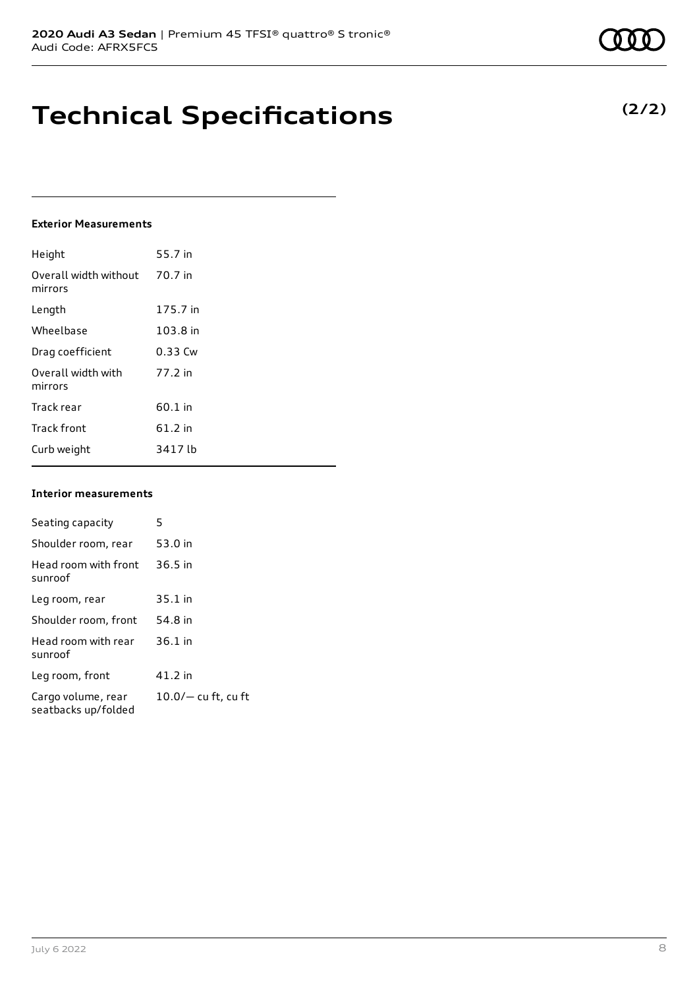## **Technical Specifications**

#### **Exterior Measurements**

| Height                           | 55.7 in   |
|----------------------------------|-----------|
| Overall width without<br>mirrors | 70.7 in   |
| Length                           | 175.7 in  |
| Wheelbase                        | 103.8 in  |
| Drag coefficient                 | $0.33$ Cw |
| Overall width with<br>mirrors    | 77.2 in   |
| Track rear                       | 60.1 in   |
| <b>Track front</b>               | 61.2 in   |
| Curb weight                      | 3417 lb   |

### **Interior measurements**

| Seating capacity                          | 5                     |
|-------------------------------------------|-----------------------|
| Shoulder room, rear                       | 53.0 in               |
| Head room with front<br>sunroof           | $36.5$ in             |
| Leg room, rear                            | 35.1 in               |
| Shoulder room, front                      | 54.8 in               |
| Head room with rear<br>sunroof            | $36.1$ in             |
| Leg room, front                           | 41.2 in               |
| Cargo volume, rear<br>seatbacks up/folded | $10.0/-$ cu ft, cu ft |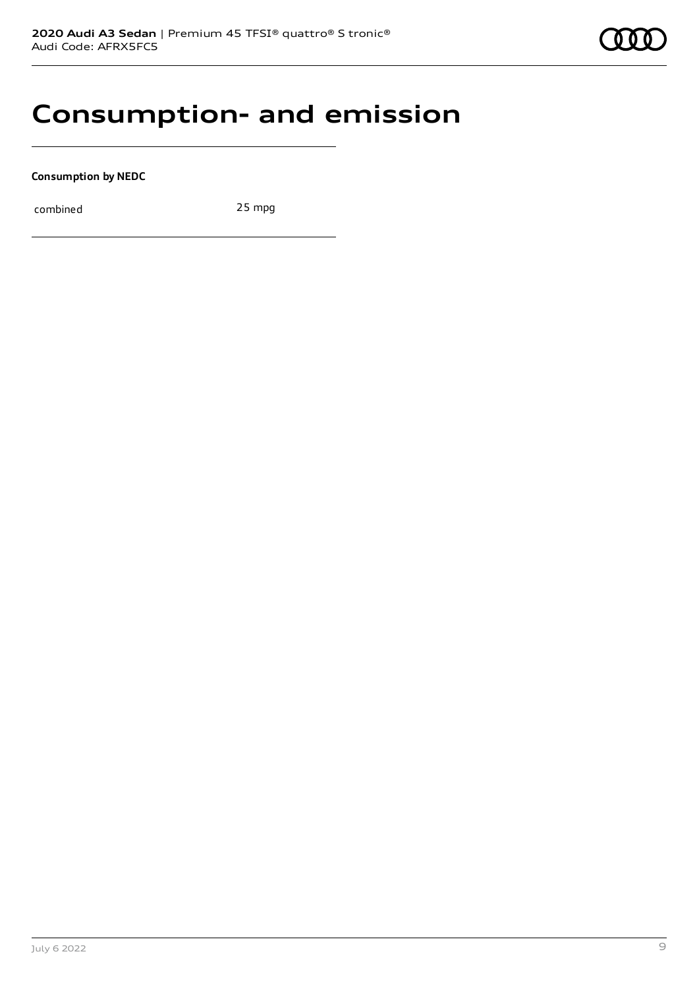### **Consumption- and emission**

**Consumption by NEDC**

combined 25 mpg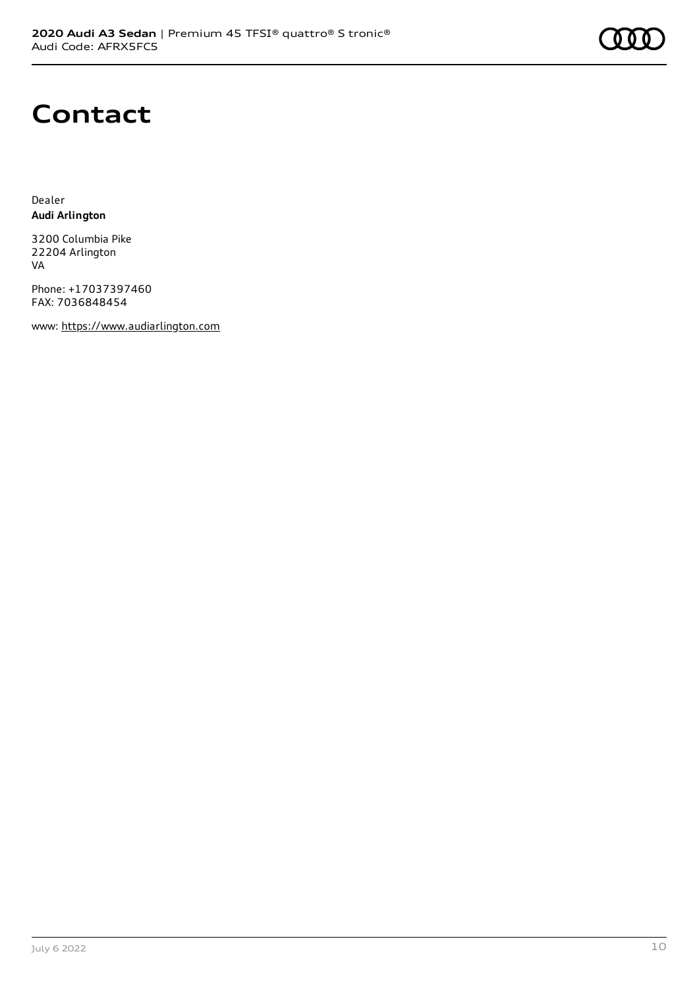

# **Contact**

Dealer **Audi Arlington**

3200 Columbia Pike 22204 Arlington VA

Phone: +17037397460 FAX: 7036848454

www: [https://www.audiarlington.com](https://www.audiarlington.com/)